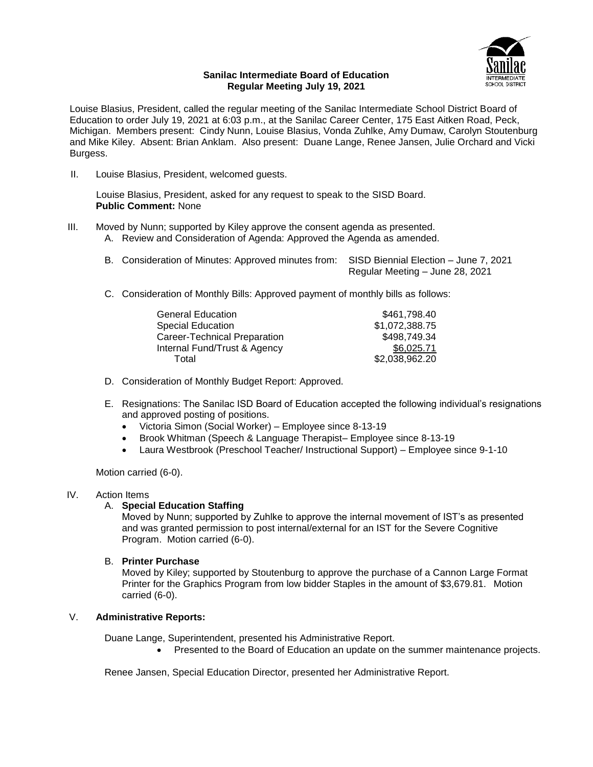

## **Sanilac Intermediate Board of Education Regular Meeting July 19, 2021**

Louise Blasius, President, called the regular meeting of the Sanilac Intermediate School District Board of Education to order July 19, 2021 at 6:03 p.m., at the Sanilac Career Center, 175 East Aitken Road, Peck, Michigan. Members present: Cindy Nunn, Louise Blasius, Vonda Zuhlke, Amy Dumaw, Carolyn Stoutenburg and Mike Kiley. Absent: Brian Anklam. Also present: Duane Lange, Renee Jansen, Julie Orchard and Vicki Burgess.

II. Louise Blasius, President, welcomed guests.

Louise Blasius, President, asked for any request to speak to the SISD Board. **Public Comment:** None

- III. Moved by Nunn; supported by Kiley approve the consent agenda as presented.
	- A. Review and Consideration of Agenda: Approved the Agenda as amended.
	- B. Consideration of Minutes: Approved minutes from: SISD Biennial Election June 7, 2021 Regular Meeting – June 28, 2021
	- C. Consideration of Monthly Bills: Approved payment of monthly bills as follows:

| <b>General Education</b>     | \$461,798.40   |
|------------------------------|----------------|
| Special Education            | \$1,072,388.75 |
| Career-Technical Preparation | \$498,749.34   |
| Internal Fund/Trust & Agency | \$6,025.71     |
| Total                        | \$2,038,962.20 |

- D. Consideration of Monthly Budget Report: Approved.
- E. Resignations: The Sanilac ISD Board of Education accepted the following individual's resignations and approved posting of positions.
	- Victoria Simon (Social Worker) Employee since 8-13-19
	- Brook Whitman (Speech & Language Therapist– Employee since 8-13-19
	- Laura Westbrook (Preschool Teacher/ Instructional Support) Employee since 9-1-10

Motion carried (6-0).

# IV. Action Items

# A. **Special Education Staffing**

Moved by Nunn; supported by Zuhlke to approve the internal movement of IST's as presented and was granted permission to post internal/external for an IST for the Severe Cognitive Program. Motion carried (6-0).

# B. **Printer Purchase**

Moved by Kiley; supported by Stoutenburg to approve the purchase of a Cannon Large Format Printer for the Graphics Program from low bidder Staples in the amount of \$3,679.81. Motion carried (6-0).

# V. **Administrative Reports:**

Duane Lange, Superintendent, presented his Administrative Report.

Presented to the Board of Education an update on the summer maintenance projects.

Renee Jansen, Special Education Director, presented her Administrative Report.